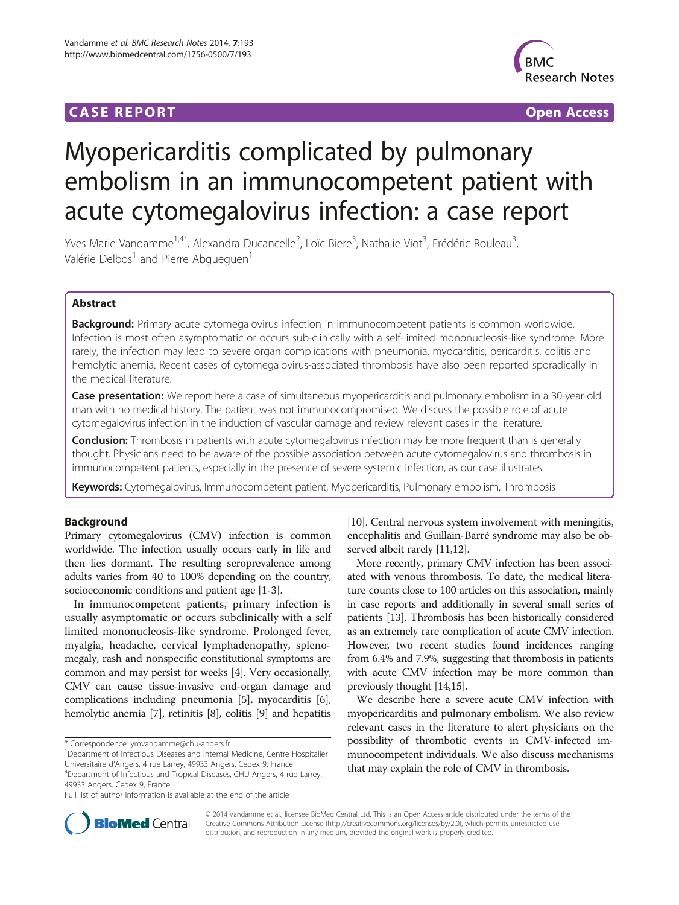# **CASE REPORT CASE REPORT CASE REPORT**



# Myopericarditis complicated by pulmonary embolism in an immunocompetent patient with acute cytomegalovirus infection: a case report

Yves Marie Vandamme<sup>1,4\*</sup>, Alexandra Ducancelle<sup>2</sup>, Loïc Biere<sup>3</sup>, Nathalie Viot<sup>3</sup>, Frédéric Rouleau<sup>3</sup> , Valérie Delbos<sup>1</sup> and Pierre Abgueguen<sup>1</sup>

# Abstract

Background: Primary acute cytomegalovirus infection in immunocompetent patients is common worldwide. Infection is most often asymptomatic or occurs sub-clinically with a self-limited mononucleosis-like syndrome. More rarely, the infection may lead to severe organ complications with pneumonia, myocarditis, pericarditis, colitis and hemolytic anemia. Recent cases of cytomegalovirus-associated thrombosis have also been reported sporadically in the medical literature.

Case presentation: We report here a case of simultaneous myopericarditis and pulmonary embolism in a 30-year-old man with no medical history. The patient was not immunocompromised. We discuss the possible role of acute cytomegalovirus infection in the induction of vascular damage and review relevant cases in the literature.

**Conclusion:** Thrombosis in patients with acute cytomegalovirus infection may be more frequent than is generally thought. Physicians need to be aware of the possible association between acute cytomegalovirus and thrombosis in immunocompetent patients, especially in the presence of severe systemic infection, as our case illustrates.

Keywords: Cytomegalovirus, Immunocompetent patient, Myopericarditis, Pulmonary embolism, Thrombosis

#### **Background**

Primary cytomegalovirus (CMV) infection is common worldwide. The infection usually occurs early in life and then lies dormant. The resulting seroprevalence among adults varies from 40 to 100% depending on the country, socioeconomic conditions and patient age [[1-3\]](#page-3-0).

In immunocompetent patients, primary infection is usually asymptomatic or occurs subclinically with a self limited mononucleosis-like syndrome. Prolonged fever, myalgia, headache, cervical lymphadenopathy, splenomegaly, rash and nonspecific constitutional symptoms are common and may persist for weeks [[4\]](#page-3-0). Very occasionally, CMV can cause tissue-invasive end-organ damage and complications including pneumonia [[5\]](#page-3-0), myocarditis [[6](#page-3-0)], hemolytic anemia [\[7](#page-3-0)], retinitis [\[8](#page-3-0)], colitis [[9](#page-3-0)] and hepatitis

49933 Angers, Cedex 9, France

[[10](#page-3-0)]. Central nervous system involvement with meningitis, encephalitis and Guillain-Barré syndrome may also be observed albeit rarely [[11](#page-3-0)[,12\]](#page-4-0).

More recently, primary CMV infection has been associated with venous thrombosis. To date, the medical literature counts close to 100 articles on this association, mainly in case reports and additionally in several small series of patients [\[13\]](#page-4-0). Thrombosis has been historically considered as an extremely rare complication of acute CMV infection. However, two recent studies found incidences ranging from 6.4% and 7.9%, suggesting that thrombosis in patients with acute CMV infection may be more common than previously thought [\[14,15](#page-4-0)].

We describe here a severe acute CMV infection with myopericarditis and pulmonary embolism. We also review relevant cases in the literature to alert physicians on the possibility of thrombotic events in CMV-infected immunocompetent individuals. We also discuss mechanisms that may explain the role of CMV in thrombosis.



© 2014 Vandamme et al.; licensee BioMed Central Ltd. This is an Open Access article distributed under the terms of the Creative Commons Attribution License (<http://creativecommons.org/licenses/by/2.0>), which permits unrestricted use, distribution, and reproduction in any medium, provided the original work is properly credited.

<sup>\*</sup> Correspondence: [ymvandamme@chu-angers.fr](mailto:ymvandamme@chu-angers.fr) <sup>1</sup>

<sup>&</sup>lt;sup>1</sup>Department of Infectious Diseases and Internal Medicine, Centre Hospitalier Universitaire d'Angers, 4 rue Larrey, 49933 Angers, Cedex 9, France <sup>4</sup> Department of Infectious and Tropical Diseases, CHU Angers, 4 rue Larrey,

Full list of author information is available at the end of the article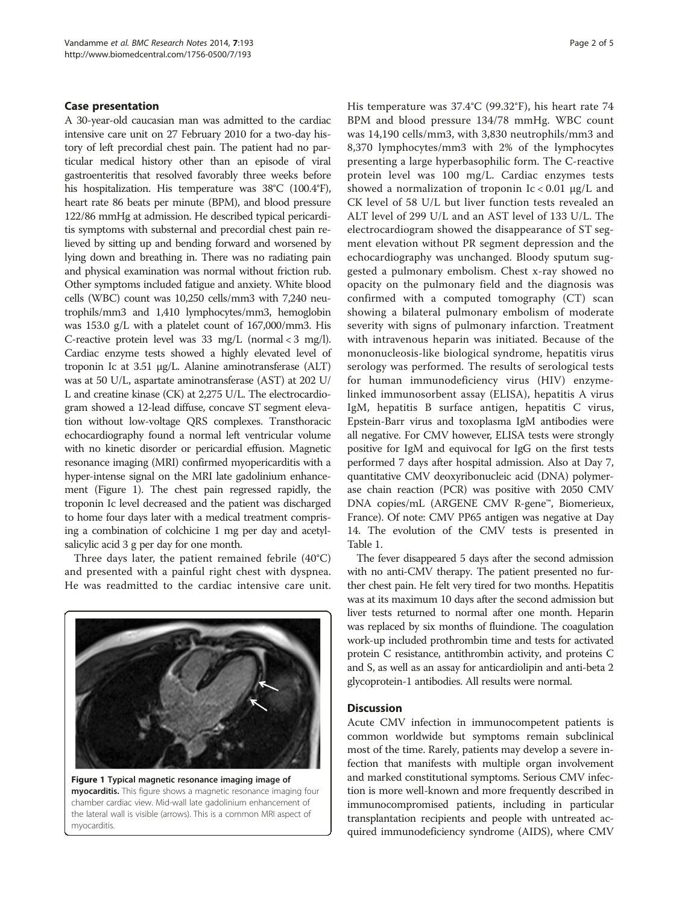#### Case presentation

A 30-year-old caucasian man was admitted to the cardiac intensive care unit on 27 February 2010 for a two-day history of left precordial chest pain. The patient had no particular medical history other than an episode of viral gastroenteritis that resolved favorably three weeks before his hospitalization. His temperature was 38°C (100.4°F), heart rate 86 beats per minute (BPM), and blood pressure 122/86 mmHg at admission. He described typical pericarditis symptoms with substernal and precordial chest pain relieved by sitting up and bending forward and worsened by lying down and breathing in. There was no radiating pain and physical examination was normal without friction rub. Other symptoms included fatigue and anxiety. White blood cells (WBC) count was 10,250 cells/mm3 with 7,240 neutrophils/mm3 and 1,410 lymphocytes/mm3, hemoglobin was 153.0 g/L with a platelet count of 167,000/mm3. His C-reactive protein level was 33 mg/L (normal < 3 mg/l). Cardiac enzyme tests showed a highly elevated level of troponin Ic at 3.51 μg/L. Alanine aminotransferase (ALT) was at 50 U/L, aspartate aminotransferase (AST) at 202 U/ L and creatine kinase (CK) at 2,275 U/L. The electrocardiogram showed a 12-lead diffuse, concave ST segment elevation without low-voltage QRS complexes. Transthoracic echocardiography found a normal left ventricular volume with no kinetic disorder or pericardial effusion. Magnetic resonance imaging (MRI) confirmed myopericarditis with a hyper-intense signal on the MRI late gadolinium enhancement (Figure 1). The chest pain regressed rapidly, the troponin Ic level decreased and the patient was discharged to home four days later with a medical treatment comprising a combination of colchicine 1 mg per day and acetylsalicylic acid 3 g per day for one month.

Three days later, the patient remained febrile (40°C) and presented with a painful right chest with dyspnea. He was readmitted to the cardiac intensive care unit.



Figure 1 Typical magnetic resonance imaging image of myocarditis. This figure shows a magnetic resonance imaging four chamber cardiac view. Mid-wall late gadolinium enhancement of the lateral wall is visible (arrows). This is a common MRI aspect of myocarditis.

His temperature was 37.4°C (99.32°F), his heart rate 74 BPM and blood pressure 134/78 mmHg. WBC count was 14,190 cells/mm3, with 3,830 neutrophils/mm3 and 8,370 lymphocytes/mm3 with 2% of the lymphocytes presenting a large hyperbasophilic form. The C-reactive protein level was 100 mg/L. Cardiac enzymes tests showed a normalization of troponin Ic < 0.01 μg/L and CK level of 58 U/L but liver function tests revealed an ALT level of 299 U/L and an AST level of 133 U/L. The electrocardiogram showed the disappearance of ST segment elevation without PR segment depression and the echocardiography was unchanged. Bloody sputum suggested a pulmonary embolism. Chest x-ray showed no opacity on the pulmonary field and the diagnosis was confirmed with a computed tomography (CT) scan showing a bilateral pulmonary embolism of moderate severity with signs of pulmonary infarction. Treatment with intravenous heparin was initiated. Because of the mononucleosis-like biological syndrome, hepatitis virus serology was performed. The results of serological tests for human immunodeficiency virus (HIV) enzymelinked immunosorbent assay (ELISA), hepatitis A virus IgM, hepatitis B surface antigen, hepatitis C virus, Epstein-Barr virus and toxoplasma IgM antibodies were all negative. For CMV however, ELISA tests were strongly positive for IgM and equivocal for IgG on the first tests performed 7 days after hospital admission. Also at Day 7, quantitative CMV deoxyribonucleic acid (DNA) polymerase chain reaction (PCR) was positive with 2050 CMV DNA copies/mL (ARGENE CMV R-gene™, Biomerieux, France). Of note: CMV PP65 antigen was negative at Day 14. The evolution of the CMV tests is presented in Table [1.](#page-2-0)

The fever disappeared 5 days after the second admission with no anti-CMV therapy. The patient presented no further chest pain. He felt very tired for two months. Hepatitis was at its maximum 10 days after the second admission but liver tests returned to normal after one month. Heparin was replaced by six months of fluindione. The coagulation work-up included prothrombin time and tests for activated protein C resistance, antithrombin activity, and proteins C and S, as well as an assay for anticardiolipin and anti-beta 2 glycoprotein-1 antibodies. All results were normal.

## **Discussion**

Acute CMV infection in immunocompetent patients is common worldwide but symptoms remain subclinical most of the time. Rarely, patients may develop a severe infection that manifests with multiple organ involvement and marked constitutional symptoms. Serious CMV infection is more well-known and more frequently described in immunocompromised patients, including in particular transplantation recipients and people with untreated acquired immunodeficiency syndrome (AIDS), where CMV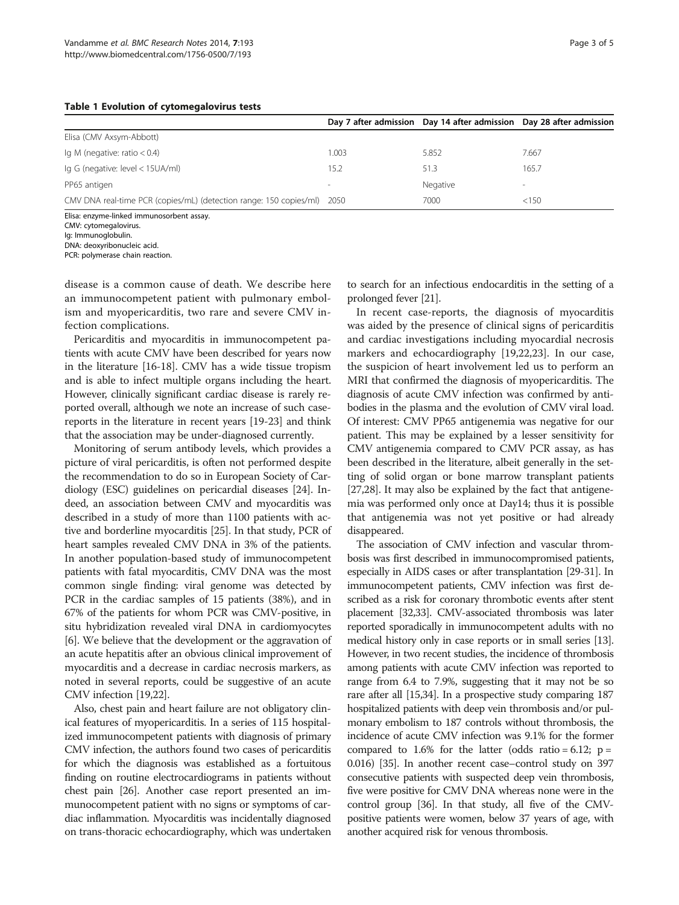<span id="page-2-0"></span>

|                                                                         |       | Day 7 after admission Day 14 after admission Day 28 after admission |        |
|-------------------------------------------------------------------------|-------|---------------------------------------------------------------------|--------|
| Elisa (CMV Axsym-Abbott)                                                |       |                                                                     |        |
| Ig M (negative: ratio $< 0.4$ )                                         | 1.003 | 5.852                                                               | 7.667  |
| Ig G (negative: level < 15UA/ml)                                        | 15.2  | 51.3                                                                | 165.7  |
| PP65 antigen                                                            | -     | Negative                                                            | $\sim$ |
| CMV DNA real-time PCR (copies/mL) (detection range: 150 copies/ml) 2050 |       | 7000                                                                | <150   |

Elisa: enzyme-linked immunosorbent assay.

PCR: polymerase chain reaction.

disease is a common cause of death. We describe here an immunocompetent patient with pulmonary embolism and myopericarditis, two rare and severe CMV infection complications.

Pericarditis and myocarditis in immunocompetent patients with acute CMV have been described for years now in the literature [[16-18\]](#page-4-0). CMV has a wide tissue tropism and is able to infect multiple organs including the heart. However, clinically significant cardiac disease is rarely reported overall, although we note an increase of such casereports in the literature in recent years [\[19-23\]](#page-4-0) and think that the association may be under-diagnosed currently.

Monitoring of serum antibody levels, which provides a picture of viral pericarditis, is often not performed despite the recommendation to do so in European Society of Cardiology (ESC) guidelines on pericardial diseases [[24](#page-4-0)]. Indeed, an association between CMV and myocarditis was described in a study of more than 1100 patients with active and borderline myocarditis [[25](#page-4-0)]. In that study, PCR of heart samples revealed CMV DNA in 3% of the patients. In another population-based study of immunocompetent patients with fatal myocarditis, CMV DNA was the most common single finding: viral genome was detected by PCR in the cardiac samples of 15 patients (38%), and in 67% of the patients for whom PCR was CMV-positive, in situ hybridization revealed viral DNA in cardiomyocytes [[6\]](#page-3-0). We believe that the development or the aggravation of an acute hepatitis after an obvious clinical improvement of myocarditis and a decrease in cardiac necrosis markers, as noted in several reports, could be suggestive of an acute CMV infection [\[19,22\]](#page-4-0).

Also, chest pain and heart failure are not obligatory clinical features of myopericarditis. In a series of 115 hospitalized immunocompetent patients with diagnosis of primary CMV infection, the authors found two cases of pericarditis for which the diagnosis was established as a fortuitous finding on routine electrocardiograms in patients without chest pain [[26](#page-4-0)]. Another case report presented an immunocompetent patient with no signs or symptoms of cardiac inflammation. Myocarditis was incidentally diagnosed on trans-thoracic echocardiography, which was undertaken to search for an infectious endocarditis in the setting of a prolonged fever [\[21\]](#page-4-0).

In recent case-reports, the diagnosis of myocarditis was aided by the presence of clinical signs of pericarditis and cardiac investigations including myocardial necrosis markers and echocardiography [[19,22,23\]](#page-4-0). In our case, the suspicion of heart involvement led us to perform an MRI that confirmed the diagnosis of myopericarditis. The diagnosis of acute CMV infection was confirmed by antibodies in the plasma and the evolution of CMV viral load. Of interest: CMV PP65 antigenemia was negative for our patient. This may be explained by a lesser sensitivity for CMV antigenemia compared to CMV PCR assay, as has been described in the literature, albeit generally in the setting of solid organ or bone marrow transplant patients [[27,28](#page-4-0)]. It may also be explained by the fact that antigenemia was performed only once at Day14; thus it is possible that antigenemia was not yet positive or had already disappeared.

The association of CMV infection and vascular thrombosis was first described in immunocompromised patients, especially in AIDS cases or after transplantation [[29](#page-4-0)-[31](#page-4-0)]. In immunocompetent patients, CMV infection was first described as a risk for coronary thrombotic events after stent placement [\[32,33\]](#page-4-0). CMV-associated thrombosis was later reported sporadically in immunocompetent adults with no medical history only in case reports or in small series [\[13](#page-4-0)]. However, in two recent studies, the incidence of thrombosis among patients with acute CMV infection was reported to range from 6.4 to 7.9%, suggesting that it may not be so rare after all [\[15,34](#page-4-0)]. In a prospective study comparing 187 hospitalized patients with deep vein thrombosis and/or pulmonary embolism to 187 controls without thrombosis, the incidence of acute CMV infection was 9.1% for the former compared to 1.6% for the latter (odds ratio =  $6.12$ ; p = 0.016) [[35](#page-4-0)]. In another recent case–control study on 397 consecutive patients with suspected deep vein thrombosis, five were positive for CMV DNA whereas none were in the control group [\[36\]](#page-4-0). In that study, all five of the CMVpositive patients were women, below 37 years of age, with another acquired risk for venous thrombosis.

CMV: cytomegalovirus. Ig: Immunoglobulin. DNA: deoxyribonucleic acid.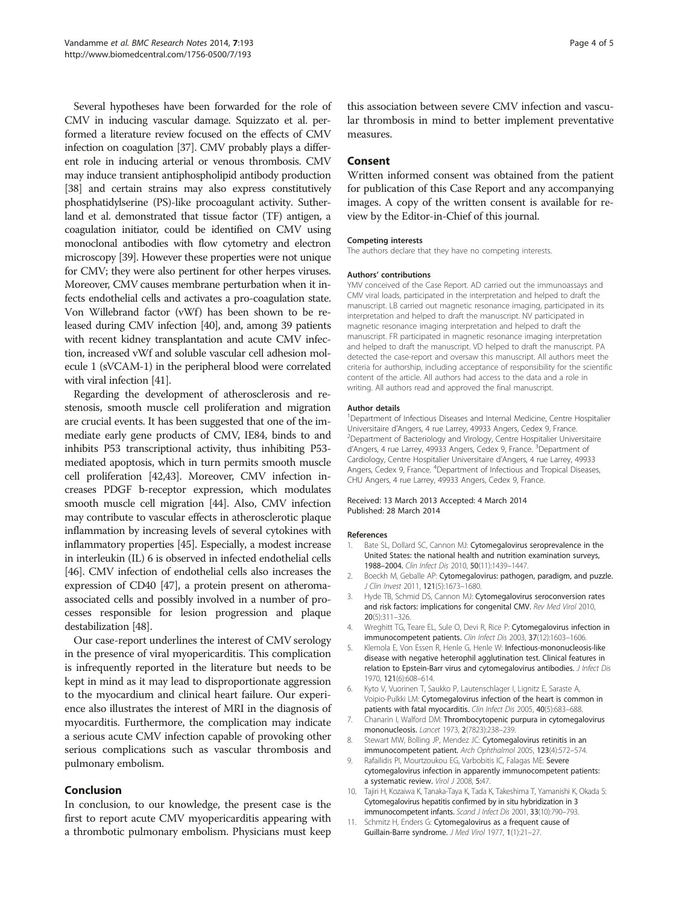<span id="page-3-0"></span>Several hypotheses have been forwarded for the role of CMV in inducing vascular damage. Squizzato et al. performed a literature review focused on the effects of CMV infection on coagulation [\[37](#page-4-0)]. CMV probably plays a different role in inducing arterial or venous thrombosis. CMV may induce transient antiphospholipid antibody production [[38](#page-4-0)] and certain strains may also express constitutively phosphatidylserine (PS)-like procoagulant activity. Sutherland et al. demonstrated that tissue factor (TF) antigen, a coagulation initiator, could be identified on CMV using monoclonal antibodies with flow cytometry and electron microscopy [\[39\]](#page-4-0). However these properties were not unique for CMV; they were also pertinent for other herpes viruses. Moreover, CMV causes membrane perturbation when it infects endothelial cells and activates a pro-coagulation state. Von Willebrand factor (vWf) has been shown to be released during CMV infection [\[40](#page-4-0)], and, among 39 patients with recent kidney transplantation and acute CMV infection, increased vWf and soluble vascular cell adhesion molecule 1 (sVCAM-1) in the peripheral blood were correlated with viral infection [[41](#page-4-0)].

Regarding the development of atherosclerosis and restenosis, smooth muscle cell proliferation and migration are crucial events. It has been suggested that one of the immediate early gene products of CMV, IE84, binds to and inhibits P53 transcriptional activity, thus inhibiting P53 mediated apoptosis, which in turn permits smooth muscle cell proliferation [\[42,43](#page-4-0)]. Moreover, CMV infection increases PDGF b-receptor expression, which modulates smooth muscle cell migration [\[44\]](#page-4-0). Also, CMV infection may contribute to vascular effects in atherosclerotic plaque inflammation by increasing levels of several cytokines with inflammatory properties [\[45\]](#page-4-0). Especially, a modest increase in interleukin (IL) 6 is observed in infected endothelial cells [[46](#page-4-0)]. CMV infection of endothelial cells also increases the expression of CD40 [[47](#page-4-0)], a protein present on atheromaassociated cells and possibly involved in a number of processes responsible for lesion progression and plaque destabilization [\[48](#page-4-0)].

Our case-report underlines the interest of CMV serology in the presence of viral myopericarditis. This complication is infrequently reported in the literature but needs to be kept in mind as it may lead to disproportionate aggression to the myocardium and clinical heart failure. Our experience also illustrates the interest of MRI in the diagnosis of myocarditis. Furthermore, the complication may indicate a serious acute CMV infection capable of provoking other serious complications such as vascular thrombosis and pulmonary embolism.

# Conclusion

In conclusion, to our knowledge, the present case is the first to report acute CMV myopericarditis appearing with a thrombotic pulmonary embolism. Physicians must keep this association between severe CMV infection and vascular thrombosis in mind to better implement preventative measures.

# Consent

Written informed consent was obtained from the patient for publication of this Case Report and any accompanying images. A copy of the written consent is available for review by the Editor-in-Chief of this journal.

#### Competing interests

The authors declare that they have no competing interests.

#### Authors' contributions

YMV conceived of the Case Report. AD carried out the immunoassays and CMV viral loads, participated in the interpretation and helped to draft the manuscript. LB carried out magnetic resonance imaging, participated in its interpretation and helped to draft the manuscript. NV participated in magnetic resonance imaging interpretation and helped to draft the manuscript. FR participated in magnetic resonance imaging interpretation and helped to draft the manuscript. VD helped to draft the manuscript. PA detected the case-report and oversaw this manuscript. All authors meet the criteria for authorship, including acceptance of responsibility for the scientific content of the article. All authors had access to the data and a role in writing. All authors read and approved the final manuscript.

#### Author details

<sup>1</sup>Department of Infectious Diseases and Internal Medicine, Centre Hospitalier Universitaire d'Angers, 4 rue Larrey, 49933 Angers, Cedex 9, France. <sup>2</sup> <sup>2</sup>Department of Bacteriology and Virology, Centre Hospitalier Universitaire d'Angers, 4 rue Larrey, 49933 Angers, Cedex 9, France. <sup>3</sup>Department of Cardiology, Centre Hospitalier Universitaire d'Angers, 4 rue Larrey, 49933 Angers, Cedex 9, France. <sup>4</sup>Department of Infectious and Tropical Diseases CHU Angers, 4 rue Larrey, 49933 Angers, Cedex 9, France.

#### Received: 13 March 2013 Accepted: 4 March 2014 Published: 28 March 2014

#### References

- 1. Bate SL, Dollard SC, Cannon MJ: Cytomegalovirus seroprevalence in the United States: the national health and nutrition examination surveys, 1988–2004. Clin Infect Dis 2010, 50(11):1439–1447.
- 2. Boeckh M, Geballe AP: Cytomegalovirus: pathogen, paradigm, and puzzle. J Clin Invest 2011, 121(5):1673–1680.
- 3. Hyde TB, Schmid DS, Cannon MJ: Cytomegalovirus seroconversion rates and risk factors: implications for congenital CMV. Rev Med Virol 2010, 20(5):311–326.
- 4. Wreghitt TG, Teare EL, Sule O, Devi R, Rice P: Cytomegalovirus infection in immunocompetent patients. Clin Infect Dis 2003, 37(12):1603-1606
- 5. Klemola E, Von Essen R, Henle G, Henle W: Infectious-mononucleosis-like disease with negative heterophil agglutination test. Clinical features in relation to Epstein-Barr virus and cytomegalovirus antibodies. J Infect Dis 1970, 121(6):608–614.
- 6. Kyto V, Vuorinen T, Saukko P, Lautenschlager I, Lignitz E, Saraste A, Voipio-Pulkki LM: Cytomegalovirus infection of the heart is common in patients with fatal myocarditis. Clin Infect Dis 2005, 40(5):683-688.
- 7. Chanarin I, Walford DM: Thrombocytopenic purpura in cytomegalovirus mononucleosis. Lancet 1973, 2(7823):238–239.
- 8. Stewart MW, Bolling JP, Mendez JC: Cytomegalovirus retinitis in an immunocompetent patient. Arch Ophthalmol 2005, 123(4):572–574.
- 9. Rafailidis PI, Mourtzoukou EG, Varbobitis IC, Falagas ME: Severe cytomegalovirus infection in apparently immunocompetent patients: a systematic review. Virol J 2008, 5:47.
- 10. Tajiri H, Kozaiwa K, Tanaka-Taya K, Tada K, Takeshima T, Yamanishi K, Okada S: Cytomegalovirus hepatitis confirmed by in situ hybridization in 3 immunocompetent infants. Scand J Infect Dis 2001, 33(10):790-793.
- 11. Schmitz H, Enders G: Cytomegalovirus as a frequent cause of Guillain-Barre syndrome. J Med Virol 1977, 1(1):21–27.